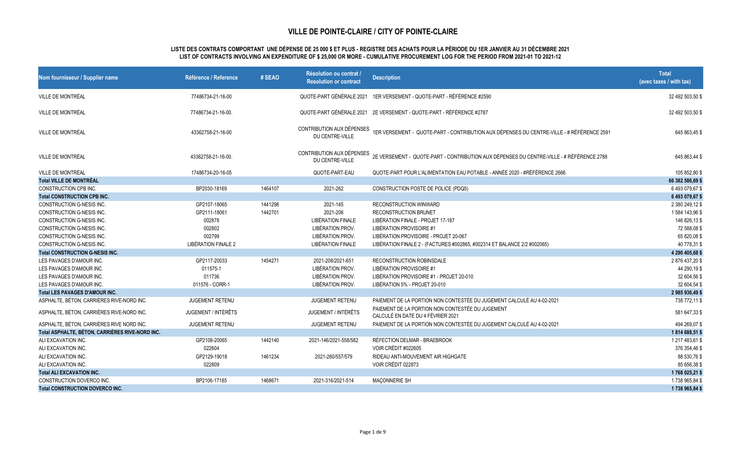| Nom fournisseur / Supplier name                 | Référence / Reference      | # SEAO  | Résolution ou contrat<br><b>Resolution or contract</b> | <b>Description</b>                                                                                                 | <b>Total</b><br>(avec taxes / with tax) |
|-------------------------------------------------|----------------------------|---------|--------------------------------------------------------|--------------------------------------------------------------------------------------------------------------------|-----------------------------------------|
| VILLE DE MONTRÉAL                               | 77486734-21-16-00          |         |                                                        | QUOTE-PART GÉNÉRALE 2021 1ER VERSEMENT - QUOTE-PART - RÉFÉRENCE #2590                                              | 32 492 503,50 \$                        |
| VILLE DE MONTRÉAL                               | 77486734-21-16-00.         |         |                                                        | QUOTE-PART GÉNÉRALE 2021 2E VERSEMENT - QUOTE-PART - RÉFÉRENCE #2787                                               | 32 492 503,50 \$                        |
| VILLE DE MONTRÉAL                               | 43362758-21-16-00          |         | CONTRIBUTION AUX DÉPENSES<br>DU CENTRE-VILLE           | 1ER VERSEMENT - QUOTE-PART - CONTRIBUTION AUX DÉPENSES DU CENTRE-VILLE - # RÉFÉRENCE 2591                          | 645 863,45 \$                           |
| VILLE DE MONTRÉAL                               | 43362758-21-16-00.         |         | DU CENTRE-VILLE                                        | CONTRIBUTION AUX DÉPENSES 2E VERSEMENT - QUOTE-PART - CONTRIBUTION AUX DÉPENSES DU CENTRE-VILLE - # RÉFÉRENCE 2788 | 645 863,44 \$                           |
| VILLE DE MONTRÉAL                               | 17486734-20-16-05          |         | QUOTE-PART-EAU                                         | QUOTE-PART POUR L'ALIMENTATION EAU POTABLE - ANNÉE 2020 - #RÉFÉRENCE 2666                                          | 105 852,80 \$                           |
| <b>Total VILLE DE MONTRÉAL</b>                  |                            |         |                                                        |                                                                                                                    | 66 382 586,69 \$                        |
| CONSTRUCTION CPB INC.                           | BP2030-18169               | 1464107 | 2021-262                                               | CONSTRUCTION POSTE DE POLICE (PDQ5)                                                                                | 6493079,67\$                            |
| <b>Total CONSTRUCTION CPB INC.</b>              |                            |         |                                                        |                                                                                                                    | 6 493 079,67 \$                         |
| CONSTRUCTION G-NESIS INC.                       | GP2107-18065               | 1441298 | 2021-145                                               | RECONSTRUCTION WINWARD                                                                                             | 2 380 249,12 \$                         |
| <b>CONSTRUCTION G-NESIS INC.</b>                | GP2111-18061               | 1442701 | 2021-206                                               | <b>RECONSTRUCTION BRUNET</b>                                                                                       | 1584 143,96 \$                          |
| CONSTRUCTION G-NESIS INC.                       | 002878                     |         | <b>LIBÉRATION FINALE</b>                               | LIBÉRATION FINALE - PROJET 17-187                                                                                  | 146 826,13 \$                           |
| CONSTRUCTION G-NESIS INC.                       | 002802                     |         | LIBÉRATION PROV.                                       | LIBÉRATION PROVISOIRE #1                                                                                           | 72 588,08 \$                            |
| CONSTRUCTION G-NESIS INC.                       | 002799                     |         | LIBÉRATION PROV.                                       | LIBÉRATION PROVISOIRE - PROJET 20-067                                                                              | 65 820,08 \$                            |
| CONSTRUCTION G-NESIS INC.                       | LIBÉRATION FINALE 2        |         | <b>LIBÉRATION FINALE</b>                               | LIBÉRATION FINALE 2 - (FACTURES #002865, #002314 ET BALANCE 2/2 #002065)                                           | 40 778,31 \$                            |
| <b>Total CONSTRUCTION G-NESIS INC.</b>          |                            |         |                                                        |                                                                                                                    | 4 290 405,68 \$                         |
| LES PAVAGES D'AMOUR INC.                        | GP2117-20033               | 1454271 | 2021-208/2021-651                                      | RECONSTRUCTION ROBINSDALE                                                                                          | 2876437,20\$                            |
| LES PAVAGES D'AMOUR INC.                        | 011575-1                   |         | LIBÉRATION PROV.                                       | LIBÉRATION PROVISOIRE #1                                                                                           | 44 290,19 \$                            |
| LES PAVAGES D'AMOUR INC.                        | 011736                     |         | LIBÉRATION PROV.                                       | LIBÉRATION PROVISOIRE #1 - PROJET 20-010                                                                           | 32 604,56 \$                            |
| LES PAVAGES D'AMOUR INC.                        | 011576 - CORR-1            |         | LIBÉRATION PROV.                                       | LIBÉRATION 5% - PROJET 20-010                                                                                      | 32 604,54 \$                            |
| <b>Total LES PAVAGES D'AMOUR INC.</b>           |                            |         |                                                        |                                                                                                                    | 2 985 936,49 \$                         |
| ASPHALTE, BÉTON, CARRIÈRES RIVE-NORD INC.       | <b>JUGEMENT RETENU</b>     |         | <b>JUGEMENT RETENU</b>                                 | PAIEMENT DE LA PORTION NON CONTESTÉE DU JUGEMENT CALCULÉ AU 4-02-2021                                              | 738 772,11 \$                           |
| ASPHALTE, BÉTON, CARRIÈRES RIVE-NORD INC.       | <b>JUGEMENT / INTÉRÊTS</b> |         | JUGEMENT / INTÉRÊTS                                    | PAIEMENT DE LA PORTION NON CONTESTÉE DU JUGEMENT<br>CALCULÉ EN DATE DU 4 FÉVRIER 2021                              | 581 647,33 \$                           |
| ASPHALTE, BÉTON, CARRIÈRES RIVE NORD INC.       | <b>JUGEMENT RETENU</b>     |         | <b>JUGEMENT RETENU</b>                                 | PAIEMENT DE LA PORTION NON CONTESTÉE DU JUGEMENT CALCULÉ AU 4-02-2021                                              | 494 269,07 \$                           |
| Total ASPHALTE, BÉTON, CARRIÈRES RIVE-NORD INC. |                            |         |                                                        |                                                                                                                    | 1814 688,51\$                           |
| ALI EXCAVATION INC.                             | GP2108-20065               | 1442140 | 2021-146/2021-558/582                                  | RÉFECTION DELMAR - BRAEBROOK                                                                                       | 1 217 483,61 \$                         |
| ALI EXCAVATION INC.                             | 022604                     |         |                                                        | VOIR CRÉDIT #022605                                                                                                | 376 354,46 \$                           |
| ALI EXCAVATION INC.                             | GP2129-19018               | 1461234 | 2021-260/557/579                                       | RIDEAU ANTI-MOUVEMENT AIR HIGHGATE                                                                                 | 88 530,76 \$                            |
| ALI EXCAVATION INC.                             | 022809                     |         |                                                        | VOIR CRÉDIT 022873                                                                                                 | 85 656,38 \$                            |
| <b>Total ALI EXCAVATION INC.</b>                |                            |         |                                                        |                                                                                                                    | 1768 025,21 \$                          |
| CONSTRUCTION DOVERCO INC.                       | BP2106-17185               | 1468671 | 2021-316/2021-514                                      | MAÇONNERIE SH                                                                                                      | 1738 965,84 \$                          |
| <b>Total CONSTRUCTION DOVERCO INC.</b>          |                            |         |                                                        |                                                                                                                    | 1738 965,84 \$                          |

#### **LISTE DES CONTRATS COMPORTANT UNE DÉPENSE DE 25 000 \$ ET PLUS - REGISTRE DES ACHATS POUR LA PÉRIODE DU 1ER JANVIER AU 31 DÉCEMBRE 2021 LIST OF CONTRACTS INVOLVING AN EXPENDITURE OF \$ 25,000 OR MORE - CUMULATIVE PROCUREMENT LOG FOR THE PERIOD FROM 2021-01 TO 2021-12**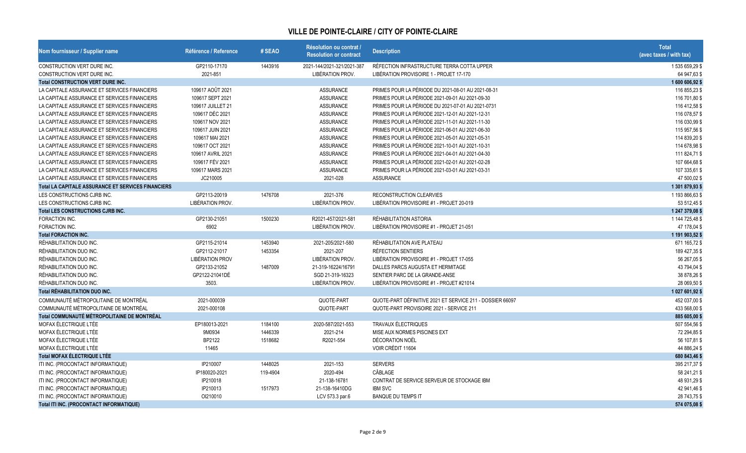| Nom fournisseur / Supplier name                    | Référence / Reference  | # SEAO   | Résolution ou contrat /<br><b>Resolution or contract</b> | <b>Description</b>                                        | <b>Total</b><br>(avec taxes / with tax) |
|----------------------------------------------------|------------------------|----------|----------------------------------------------------------|-----------------------------------------------------------|-----------------------------------------|
| CONSTRUCTION VERT DURE INC.                        | GP2110-17170           | 1443916  | 2021-144/2021-321/2021-387                               | RÉFECTION INFRASTRUCTURE TERRA COTTA UPPER                | 1535659,29\$                            |
| CONSTRUCTION VERT DURE INC.                        | 2021-851               |          | LIBÉRATION PROV.                                         | LIBÉRATION PROVISOIRE 1 - PROJET 17-170                   | 64 947,63 \$                            |
| <b>Total CONSTRUCTION VERT DURE INC.</b>           |                        |          |                                                          |                                                           | 1 600 606,92 \$                         |
| LA CAPITALE ASSURANCE ET SERVICES FINANCIERS       | 109617 AOÛT 2021       |          | <b>ASSURANCE</b>                                         | PRIMES POUR LA PÉRIODE DU 2021-08-01 AU 2021-08-31        | 116 855,23 \$                           |
| LA CAPITALE ASSURANCE ET SERVICES FINANCIERS       | 109617 SEPT 2021       |          | <b>ASSURANCE</b>                                         | PRIMES POUR LA PÉRIODE 2021-09-01 AU 2021-09-30           | 116 701,80 \$                           |
| LA CAPITALE ASSURANCE ET SERVICES FINANCIERS       | 109617 JUILLET 21      |          | <b>ASSURANCE</b>                                         | PRIMES POUR LA PÉRIODE DU 2021-07-01 AU 2021-0731         | 116 412,58 \$                           |
| LA CAPITALE ASSURANCE ET SERVICES FINANCIERS       | 109617 DÉC 2021        |          | <b>ASSURANCE</b>                                         | PRIMES POUR LA PÉRIODE 2021-12-01 AU 2021-12-31           | 116 078,57 \$                           |
| LA CAPITALE ASSURANCE ET SERVICES FINANCIERS       | 109617 NOV 2021        |          | <b>ASSURANCE</b>                                         | PRIMES POUR LA PÉRIODE 2021-11-01 AU 2021-11-30           | 116 030,99 \$                           |
| LA CAPITALE ASSURANCE ET SERVICES FINANCIERS       | 109617 JUIN 2021       |          | <b>ASSURANCE</b>                                         | PRIMES POUR LA PÉRIODE 2021-06-01 AU 2021-06-30           | 115 957,56 \$                           |
| LA CAPITALE ASSURANCE ET SERVICES FINANCIERS       | 109617 MAI 2021        |          | <b>ASSURANCE</b>                                         | PRIMES POUR LA PÉRIODE 2021-05-01 AU 2021-05-31           | 114 839,20 \$                           |
| LA CAPITALE ASSURANCE ET SERVICES FINANCIERS       | 109617 OCT 2021        |          | <b>ASSURANCE</b>                                         | PRIMES POUR LA PÉRIODE 2021-10-01 AU 2021-10-31           | 114 678,98 \$                           |
| LA CAPITALE ASSURANCE ET SERVICES FINANCIERS       | 109617 AVRIL 2021      |          | <b>ASSURANCE</b>                                         | PRIMES POUR LA PÉRIODE 2021-04-01 AU 2021-04-30           | 111 824,71 \$                           |
| LA CAPITALE ASSURANCE ET SERVICES FINANCIERS       | 109617 FÉV 2021        |          | <b>ASSURANCE</b>                                         | PRIMES POUR LA PÉRIODE 2021-02-01 AU 2021-02-28           | 107 664,68 \$                           |
| LA CAPITALE ASSURANCE ET SERVICES FINANCIERS       | 109617 MARS 2021       |          | <b>ASSURANCE</b>                                         | PRIMES POUR LA PÉRIODE 2021-03-01 AU 2021-03-31           | 107 335,61 \$                           |
| LA CAPITALE ASSURANCE ET SERVICES FINANCIERS       | JC210005               |          | 2021-028                                                 | <b>ASSURANCE</b>                                          | 47 500,02 \$                            |
| Total LA CAPITALE ASSURANCE ET SERVICES FINANCIERS |                        |          |                                                          |                                                           | 1 301 879,93 \$                         |
| LES CONSTRUCTIONS CJRB INC.                        | GP2113-20019           | 1476708  | 2021-376                                                 | RECONSTRUCTION CLEARVIES                                  | 1 193 866,63 \$                         |
| LES CONSTRUCTIONS CJRB INC.                        | LIBÉRATION PROV.       |          | LIBÉRATION PROV.                                         | LIBÉRATION PROVISOIRE #1 - PROJET 20-019                  | 53 512,45 \$                            |
| <b>Total LES CONSTRUCTIONS CJRB INC.</b>           |                        |          |                                                          |                                                           | 1 247 379,08 \$                         |
| FORACTION INC.                                     | GP2130-21051           | 1500230  | R2021-457/2021-581                                       | RÉHABILITATION ASTORIA                                    | 1 144 725,48 \$                         |
| FORACTION INC.                                     | 6902                   |          | LIBÉRATION PROV.                                         | LIBÉRATION PROVISOIRE #1 - PROJET 21-051                  | 47 178,04 \$                            |
| <b>Total FORACTION INC.</b>                        |                        |          |                                                          |                                                           | 1 191 903,52 \$                         |
| RÉHABILITATION DUO INC.                            | GP2115-21014           | 1453940  | 2021-205/2021-580                                        | RÉHABILITATION AVE PLATEAU                                | 671 165,72 \$                           |
| RÉHABILITATION DUO INC.                            | GP2112-21017           | 1453354  | 2021-207                                                 | RÉFECTION SENTIERS                                        | 189 427,35 \$                           |
| RÉHABILITATION DUO INC.                            | <b>LIBÉRATION PROV</b> |          | LIBÉRATION PROV.                                         | LIBÉRATION PROVISOIRE #1 - PROJET 17-055                  | 56 267,05 \$                            |
| RÉHABILITATION DUO INC.                            | GP2133-21052           | 1487009  | 21-319-16224/16791                                       | DALLES PARCS AUGUSTA ET HERMITAGE                         | 43 794,04 \$                            |
| RÉHABILITATION DUO INC.                            | GP2122-21041DÉ         |          | SGD 21-319-16323                                         | SENTIER PARC DE LA GRANDE-ANSE                            | 38 878,26 \$                            |
| RÉHABILITATION DUO INC.                            | 3503.                  |          | LIBÉRATION PROV.                                         | LIBÉRATION PROVISOIRE #1 - PROJET #21014                  | 28 069,50 \$                            |
| <b>Total RÉHABILITATION DUO INC.</b>               |                        |          |                                                          |                                                           | 1 027 601,92 \$                         |
| COMMUNAUTÉ MÉTROPOLITAINE DE MONTRÉAL              | 2021-000039            |          | QUOTE-PART                                               | QUOTE-PART DÉFINITIVE 2021 ET SERVICE 211 - DOSSIER 66097 | 452 037,00 \$                           |
| COMMUNAUTÉ MÉTROPOLITAINE DE MONTRÉAL              | 2021-000108            |          | QUOTE-PART                                               | QUOTE-PART PROVISOIRE 2021 - SERVICE 211                  | 433 568,00 \$                           |
| Total COMMUNAUTÉ MÉTROPOLITAINE DE MONTRÉAL        |                        |          |                                                          |                                                           | 885 605,00 \$                           |
| MOFAX ÉLECTRIQUE LTÉE                              | EP180013-2021          | 1184100  | 2020-587/2021-553                                        | <b>TRAVAUX ÉLECTRIQUES</b>                                | 507 554,56 \$                           |
| MOFAX ÉLECTRIQUE LTÉE                              | 9M0934                 | 1446339  | 2021-214                                                 | MISE AUX NORMES PISCINES EXT                              | 72 294,85 \$                            |
| MOFAX ÉLECTRIQUE LTÉE                              | BP2122                 | 1518682  | R2021-554                                                | DÉCORATION NOËL                                           | 56 107,81 \$                            |
| MOFAX ÉLECTRIQUE LTÉE                              | 11465                  |          |                                                          | VOIR CRÉDIT 11604                                         | 44 886,24 \$                            |
| <b>Total MOFAX ÉLECTRIQUE LTÉE</b>                 |                        |          |                                                          |                                                           | 680 843,46 \$                           |
| ITI INC. (PROCONTACT INFORMATIQUE)                 | IP210007               | 1448025  | 2021-153                                                 | <b>SERVERS</b>                                            | 395 217,37 \$                           |
| ITI INC. (PROCONTACT INFORMATIQUE)                 | IP180020-2021          | 119-4904 | 2020-494                                                 | CÂBLAGE                                                   | 58 241,21 \$                            |
| ITI INC. (PROCONTACT INFORMATIQUE)                 | IP210018               |          | 21-138-16781                                             | CONTRAT DE SERVICE SERVEUR DE STOCKAGE IBM                | 48 931,29 \$                            |
| ITI INC. (PROCONTACT INFORMATIQUE)                 | IP210013               | 1517973  | 21-138-16410DG                                           | <b>IBM SVC</b>                                            | 42 941,46 \$                            |
| ITI INC. (PROCONTACT INFORMATIQUE)                 | OI210010               |          | LCV 573.3 par.6                                          | <b>BANQUE DU TEMPS IT</b>                                 | 28 743,75 \$                            |
| Total ITI INC. (PROCONTACT INFORMATIQUE)           |                        |          |                                                          |                                                           | 574 075,08 \$                           |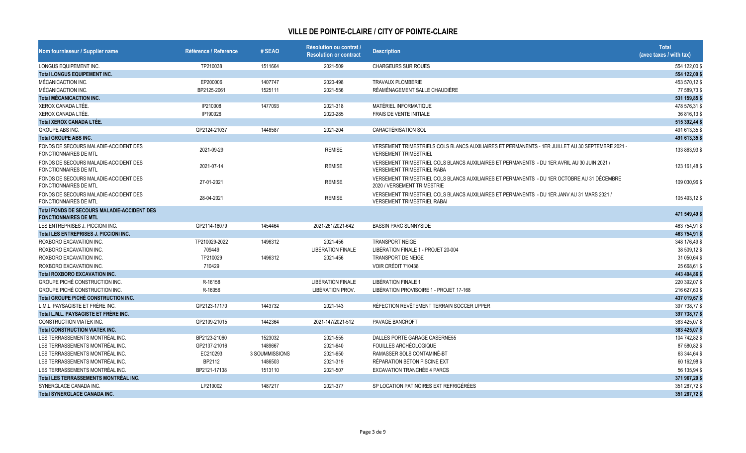| Nom fournisseur / Supplier name                                                    | Référence / Reference | #SEAO          | Résolution ou contrat /<br><b>Resolution or contract</b> | <b>Description</b>                                                                                                                | <b>Total</b><br>(avec taxes / with tax) |
|------------------------------------------------------------------------------------|-----------------------|----------------|----------------------------------------------------------|-----------------------------------------------------------------------------------------------------------------------------------|-----------------------------------------|
| LONGUS EQUIPEMENT INC.                                                             | TP210038              | 1511664        | 2021-509                                                 | <b>CHARGEURS SUR ROUES</b>                                                                                                        | 554 122,00 \$                           |
| <b>Total LONGUS EQUIPEMENT INC.</b>                                                |                       |                |                                                          |                                                                                                                                   | 554 122,00 \$                           |
| MÉCANICACTION INC.                                                                 | EP200006              | 1407747        | 2020-498                                                 | <b>TRAVAUX PLOMBERIE</b>                                                                                                          | 453 570,12 \$                           |
| MÉCANICACTION INC.                                                                 | BP2125-2061           | 1525111        | 2021-556                                                 | RÉAMÉNAGEMENT SALLE CHAUDIÈRE                                                                                                     | 77 589,73 \$                            |
| <b>Total MÉCANICACTION INC.</b>                                                    |                       |                |                                                          |                                                                                                                                   | 531 159,85 \$                           |
| XEROX CANADA LTÉE.                                                                 | IP210008              | 1477093        | 2021-318                                                 | MATÉRIEL INFORMATIQUE                                                                                                             | 478 576,31 \$                           |
| XEROX CANADA LTÉE.                                                                 | IP190026              |                | 2020-285                                                 | FRAIS DE VENTE INITIALE                                                                                                           | 36 816,13 \$                            |
| <b>Total XEROX CANADA LTÉE.</b>                                                    |                       |                |                                                          |                                                                                                                                   | 515 392,44 \$                           |
| GROUPE ABS INC.                                                                    | GP2124-21037          | 1448587        | 2021-204                                                 | <b>CARACTÉRISATION SOL</b>                                                                                                        | 491 613,35 \$                           |
| <b>Total GROUPE ABS INC.</b>                                                       |                       |                |                                                          |                                                                                                                                   | 491 613,35 \$                           |
| FONDS DE SECOURS MALADIE-ACCIDENT DES<br><b>FONCTIONNAIRES DE MTL</b>              | 2021-09-29            |                | <b>REMISE</b>                                            | VERSEMENT TRIMESTRIELS COLS BLANCS AUXILIAIRES ET PERMANENTS - 1ER JUILLET AU 30 SEPTEMBRE 2021 -<br><b>VERSEMENT TRIMESTRIEL</b> | 133 863,93 \$                           |
| FONDS DE SECOURS MALADIE-ACCIDENT DES<br><b>FONCTIONNAIRES DE MTL</b>              | 2021-07-14            |                | <b>REMISE</b>                                            | VERSEMENT TRIMESTRIEL COLS BLANCS AUXILIAIRES ET PERMANENTS - DU 1ER AVRIL AU 30 JUIN 2021/<br><b>VERSEMENT TRIMESTRIEL RABA</b>  | 123 161,48 \$                           |
| FONDS DE SECOURS MALADIE-ACCIDENT DES<br><b>FONCTIONNAIRES DE MTL</b>              | 27-01-2021            |                | <b>REMISE</b>                                            | VERSEMENT TRIMESTRIEL COLS BLANCS AUXILIAIRES ET PERMANENTS - DU 1ER OCTOBRE AU 31 DÉCEMBRE<br>2020 / VERSEMENT TRIMESTRIE        | 109 030,96 \$                           |
| FONDS DE SECOURS MALADIE-ACCIDENT DES<br><b>FONCTIONNAIRES DE MTL</b>              | 28-04-2021            |                | <b>REMISE</b>                                            | VERSEMENT TRIMESTRIEL COLS BLANCS AUXILIAIRES ET PERMANENTS - DU 1ER JANV AU 31 MARS 2021 /<br><b>VERSEMENT TRIMESTRIEL RABAI</b> | 105 493,12 \$                           |
| <b>Total FONDS DE SECOURS MALADIE-ACCIDENT DES</b><br><b>FONCTIONNAIRES DE MTL</b> |                       |                |                                                          |                                                                                                                                   | 471 549,49 \$                           |
| LES ENTREPRISES J. PICCIONI INC.                                                   | GP2114-18079          | 1454464        | 2021-261/2021-642                                        | <b>BASSIN PARC SUNNYSIDE</b>                                                                                                      | 463 754,91 \$                           |
| Total LES ENTREPRISES J. PICCIONI INC.                                             |                       |                |                                                          |                                                                                                                                   | 463 754,91 \$                           |
| ROXBORO EXCAVATION INC                                                             | TP210029-2022         | 1496312        | 2021-456                                                 | <b>TRANSPORT NEIGE</b>                                                                                                            | 348 176,49 \$                           |
| ROXBORO EXCAVATION INC.                                                            | 709449                |                | <b>LIBÉRATION FINALE</b>                                 | LIBÉRATION FINALE 1 - PROJET 20-004                                                                                               | 38 509,12 \$                            |
| ROXBORO EXCAVATION INC                                                             | TP210029              | 1496312        | 2021-456                                                 | TRANSPORT DE NEIGE                                                                                                                | 31 050,64 \$                            |
| ROXBORO EXCAVATION INC                                                             | 710429                |                |                                                          | VOIR CRÉDIT 710438                                                                                                                | 25 668,61 \$                            |
| <b>Total ROXBORO EXCAVATION INC.</b>                                               |                       |                |                                                          |                                                                                                                                   | 443 404,86 \$                           |
| GROUPE PICHÉ CONSTRUCTION INC.                                                     | R-16158               |                | <b>LIBÉRATION FINALE</b>                                 | LIBÉRATION FINALE 1                                                                                                               | 220 392,07 \$                           |
| <b>GROUPE PICHÉ CONSTRUCTION INC.</b>                                              | R-16056               |                | LIBÉRATION PROV.                                         | LIBÉRATION PROVISOIRE 1 - PROJET 17-168                                                                                           | 216 627,60 \$                           |
| Total GROUPE PICHÉ CONSTRUCTION INC.                                               |                       |                |                                                          |                                                                                                                                   | 437 019,67 \$                           |
| L.M.L. PAYSAGISTE ET FRÈRE INC.                                                    | GP2123-17170          | 1443732        | 2021-143                                                 | RÉFECTION REVÊTEMENT TERRAIN SOCCER UPPER                                                                                         | 397 738,77 \$                           |
| Total L.M.L. PAYSAGISTE ET FRÈRE INC.                                              |                       |                |                                                          |                                                                                                                                   | 397 738,77 \$                           |
| <b>CONSTRUCTION VIATEK INC.</b>                                                    | GP2109-21015          | 1442364        | 2021-147/2021-512                                        | <b>PAVAGE BANCROFT</b>                                                                                                            | 383 425,07 \$                           |
| <b>Total CONSTRUCTION VIATEK INC.</b>                                              |                       |                |                                                          |                                                                                                                                   | 383 425,07 \$                           |
| LES TERRASSEMENTS MONTRÉAL INC.                                                    | BP2123-21060          | 1523032        | 2021-555                                                 | DALLES PORTE GARAGE CASERNE55                                                                                                     | 104 742,82 \$                           |
| LES TERRASSEMENTS MONTRÉAL INC.                                                    | GP2137-21016          | 1489667        | 2021-640                                                 | FOUILLES ARCHÉOLOGIQUE                                                                                                            | 87 580,82 \$                            |
| LES TERRASSEMENTS MONTRÉAL INC.                                                    | EC210293              | 3 SOUMMISSIONS | 2021-650                                                 | RAMASSER SOLS CONTAMINÉ-BT                                                                                                        | 63 344,64 \$                            |
| LES TERRASSEMENTS MONTRÉAL INC.                                                    | BP2112                | 1486503        | 2021-319                                                 | RÉPARATION BÉTON PISCINE EXT                                                                                                      | 60 162,98 \$                            |
| LES TERRASSEMENTS MONTRÉAL INC.                                                    | BP2121-17138          | 1513110        | 2021-507                                                 | <b>EXCAVATION TRANCHÉE 4 PARCS</b>                                                                                                | 56 135,94 \$                            |
| Total LES TERRASSEMENTS MONTRÉAL INC.                                              |                       |                |                                                          |                                                                                                                                   | 371 967,20 \$                           |
| SYNERGLACE CANADA INC.                                                             | LP210002              | 1487217        | 2021-377                                                 | SP LOCATION PATINOIRES EXT REFRIGÉRÉES                                                                                            | 351 287,72 \$                           |
| <b>Total SYNERGLACE CANADA INC.</b>                                                |                       |                |                                                          |                                                                                                                                   | 351 287,72 \$                           |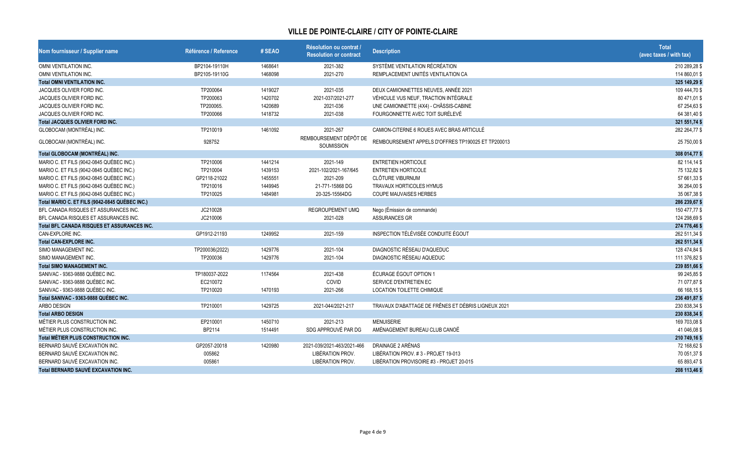| Nom fournisseur / Supplier name                | Référence / Reference | # SEAO  | Résolution ou contrat /<br><b>Resolution or contract</b> | <b>Description</b>                                  | <b>Total</b><br>(avec taxes / with tax) |
|------------------------------------------------|-----------------------|---------|----------------------------------------------------------|-----------------------------------------------------|-----------------------------------------|
| OMNI VENTILATION INC.                          | BP2104-19110H         | 1468641 | 2021-382                                                 | SYSTÈME VENTILATION RÉCRÉATION                      | 210 289,28 \$                           |
| OMNI VENTILATION INC.                          | BP2105-19110G         | 1468098 | 2021-270                                                 | REMPLACEMENT UNITÉS VENTILATION CA                  | 114 860,01 \$                           |
| <b>Total OMNI VENTILATION INC.</b>             |                       |         |                                                          |                                                     | 325 149,29 \$                           |
| JACQUES OLIVIER FORD INC.                      | TP200064              | 1419027 | 2021-035                                                 | DEUX CAMIONNETTES NEUVES, ANNÉE 2021                | 109 444,70 \$                           |
| JACQUES OLIVIER FORD INC.                      | TP200063              | 1420702 | 2021-037/2021-277                                        | VÉHICULE VUS NEUF, TRACTION INTÉGRALE               | 80 471,01 \$                            |
| JACQUES OLIVIER FORD INC.                      | TP200065.             | 1420689 | 2021-036                                                 | UNE CAMIONNETTE (4X4) - CHÂSSIS-CABINE              | 67 254,63 \$                            |
| JACQUES OLIVIER FORD INC.                      | TP200066              | 1418732 | 2021-038                                                 | FOURGONNETTE AVEC TOIT SURÉLEVÉ                     | 64 381,40 \$                            |
| <b>Total JACQUES OLIVIER FORD INC.</b>         |                       |         |                                                          |                                                     | 321 551,74 \$                           |
| GLOBOCAM (MONTRÉAL) INC.                       | TP210019              | 1461092 | 2021-267                                                 | CAMION-CITERNE 6 ROUES AVEC BRAS ARTICULÉ           | 282 264,77 \$                           |
| GLOBOCAM (MONTRÉAL) INC.                       | 928752                |         | REMBOURSEMENT DÉPÔT DE<br>SOUMISSION                     | REMBOURSEMENT APPELS D'OFFRES TP190025 ET TP200013  | 25 750,00 \$                            |
| Total GLOBOCAM (MONTRÉAL) INC.                 |                       |         |                                                          |                                                     | 308 014,77 \$                           |
| MARIO C. ET FILS (9042-0845 QUÉBEC INC.)       | TP210006              | 1441214 | 2021-149                                                 | <b>ENTRETIEN HORTICOLE</b>                          | 82 114,14 \$                            |
| MARIO C. ET FILS (9042-0845 QUÉBEC INC.)       | TP210004              | 1439153 | 2021-102/2021-167/645                                    | <b>ENTRETIEN HORTICOLE</b>                          | 75 132,82 \$                            |
| MARIO C. ET FILS (9042-0845 QUÉBEC INC.)       | GP2118-21022          | 1455551 | 2021-209                                                 | <b>CLÔTURE VIBURNUM</b>                             | 57 661,33 \$                            |
| MARIO C. ET FILS (9042-0845 QUÉBEC INC.)       | TP210016              | 1449945 | 21-771-15868 DG                                          | TRAVAUX HORTICOLES HYMUS                            | 36 264,00 \$                            |
| MARIO C. ET FILS (9042-0845 QUÉBEC INC.)       | TP210025              | 1484981 | 20-325-15564DG                                           | <b>COUPE MAUVAISES HERBES</b>                       | 35 067,38 \$                            |
| Total MARIO C. ET FILS (9042-0845 QUÉBEC INC.) |                       |         |                                                          |                                                     | 286 239,67 \$                           |
| BFL CANADA RISQUES ET ASSURANCES INC.          | JC210028              |         | <b>REGROUPEMENT UMQ</b>                                  | Nego (Émission de commande)                         | 150 477,77 \$                           |
| BFL CANADA RISQUES ET ASSURANCES INC.          | JC210006              |         | 2021-028                                                 | ASSURANCES GR                                       | 124 298,69 \$                           |
| Total BFL CANADA RISQUES ET ASSURANCES INC.    |                       |         |                                                          |                                                     | 274 776,46                              |
| CAN-EXPLORE INC.                               | GP1912-21193          | 1249952 | 2021-159                                                 | INSPECTION TÉLÉVISÉE CONDUITE ÉGOUT                 | 262 511,34 \$                           |
| <b>Total CAN-EXPLORE INC.</b>                  |                       |         |                                                          |                                                     | 262 511,34 \$                           |
| SIMO MANAGEMENT INC.                           | TP200036(2022)        | 1429776 | 2021-104                                                 | DIAGNOSTIC RÉSEAU D'AQUEDUC                         | 128 474,84 \$                           |
| SIMO MANAGEMENT INC.                           | TP200036              | 1429776 | 2021-104                                                 | DIAGNOSTIC RÉSEAU AQUEDUC                           | 111 376,82 \$                           |
| <b>Total SIMO MANAGEMENT INC.</b>              |                       |         |                                                          |                                                     | 239 851,66 \$                           |
| SANIVAC - 9363-9888 QUÉBEC INC.                | TP180037-2022         | 1174564 | 2021-438                                                 | <b>ÉCURAGE ÉGOUT OPTION 1</b>                       | 99 245,85 \$                            |
| SANIVAC - 9363-9888 QUÉBEC INC.                | EC210072              |         | COVID                                                    | SERVICE D'ENTRETIEN EC                              | 71 077,87 \$                            |
| SANIVAC - 9363-9888 QUÉBEC INC.                | TP210020              | 1470193 | 2021-266                                                 | <b>LOCATION TOILETTE CHIMIQUE</b>                   | 66 168,15 \$                            |
| Total SANIVAC - 9363-9888 QUÉBEC INC.          |                       |         |                                                          |                                                     | 236 491,87 \$                           |
| ARBO DESIGN                                    | TP210001              | 1429725 | 2021-044/2021-217                                        | TRAVAUX D'ABATTAGE DE FRÊNES ET DÉBRIS LIGNEUX 2021 | 230 838,34 \$                           |
| <b>Total ARBO DESIGN</b>                       |                       |         |                                                          |                                                     | 230 838,34 \$                           |
| MÉTIER PLUS CONSTRUCTION INC.                  | EP210001              | 1450710 | 2021-213                                                 | <b>MENUISERIE</b>                                   | 169 703,08 \$                           |
| MÉTIER PLUS CONSTRUCTION INC.                  | BP2114                | 1514491 | SDG APPROUVÉ PAR DG                                      | AMÉNAGEMENT BUREAU CLUB CANOË                       | 41 046,08 \$                            |
| Total MÉTIER PLUS CONSTRUCTION INC.            |                       |         |                                                          |                                                     | 210 749,16 \$                           |
| BERNARD SAUVÉ EXCAVATION INC.                  | GP2057-20018          | 1420980 | 2021-039/2021-463/2021-466                               | DRAINAGE 2 ARÉNAS                                   | 72 168,62 \$                            |
| BERNARD SAUVÉ EXCAVATION INC.                  | 005862                |         | LIBÉRATION PROV.                                         | LIBÉRATION PROV. #3 - PROJET 19-013                 | 70 051,37 \$                            |
| BERNARD SAUVÉ EXCAVATION INC.                  | 005861                |         | LIBÉRATION PROV.                                         | LIBÉRATION PROVISOIRE #3 - PROJET 20-015            | 65 893,47 \$                            |
| Total BERNARD SAUVÉ EXCAVATION INC.            |                       |         |                                                          |                                                     | 208 113,46 \$                           |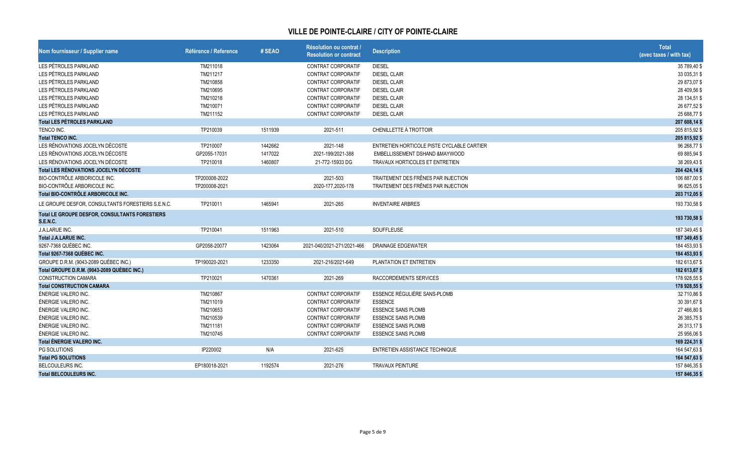| Nom fournisseur / Supplier name                                   | Référence / Reference | # SEAO  | Résolution ou contrat /<br><b>Resolution or contract</b> | <b>Description</b>                         | <b>Total</b><br>(avec taxes / with tax) |
|-------------------------------------------------------------------|-----------------------|---------|----------------------------------------------------------|--------------------------------------------|-----------------------------------------|
| LES PÉTROLES PARKLAND                                             | TM211018              |         | <b>CONTRAT CORPORATIF</b>                                | <b>DIESEL</b>                              | 35 789,40 \$                            |
| LES PÉTROLES PARKLAND                                             | TM211217              |         | <b>CONTRAT CORPORATIF</b>                                | <b>DIESEL CLAIR</b>                        | 33 035,31 \$                            |
| LES PÉTROLES PARKLAND                                             | TM210858              |         | <b>CONTRAT CORPORATIF</b>                                | <b>DIESEL CLAIR</b>                        | 29 873,07 \$                            |
| LES PÉTROLES PARKLAND                                             | TM210695              |         | <b>CONTRAT CORPORATIF</b>                                | <b>DIESEL CLAIR</b>                        | 28 409,56 \$                            |
| LES PÉTROLES PARKLAND                                             | TM210218              |         | <b>CONTRAT CORPORATIF</b>                                | <b>DIESEL CLAIR</b>                        | 28 134,51 \$                            |
| LES PÉTROLES PARKLAND                                             | TM210071              |         | <b>CONTRAT CORPORATIF</b>                                | <b>DIESEL CLAIR</b>                        | 26 677,52 \$                            |
| LES PÉTROLES PARKLAND                                             | TM211152              |         | CONTRAT CORPORATIF                                       | <b>DIESEL CLAIR</b>                        | 25 688,77 \$                            |
| <b>Total LES PÉTROLES PARKLAND</b>                                |                       |         |                                                          |                                            | 207 608,14 \$                           |
| TENCO INC.                                                        | TP210039              | 1511939 | 2021-511                                                 | CHENILLETTE À TROTTOIR                     | 205 815,92 \$                           |
| <b>Total TENCO INC.</b>                                           |                       |         |                                                          |                                            | 205 815,92 \$                           |
| LES RÉNOVATIONS JOCELYN DÉCOSTE                                   | TP210007              | 1442662 | 2021-148                                                 | ENTRETIEN HORTICOLE PISTE CYCLABLE CARTIER | 96 268,77 \$                            |
| LES RÉNOVATIONS JOCELYN DÉCOSTE                                   | GP2055-17031          | 1417022 | 2021-199/2021-388                                        | EMBELLISSEMENT DSHAND &MAYWOOD             | 69 885,94 \$                            |
| LES RÉNOVATIONS JOCELYN DÉCOSTE                                   | TP210018              | 1460807 | 21-772-15933 DG                                          | TRAVAUX HORTICOLES ET ENTRETIEN            | 38 269,43 \$                            |
| Total LES RÉNOVATIONS JOCELYN DÉCOSTE                             |                       |         |                                                          |                                            | 204 424,14 \$                           |
| BIO-CONTRÔLE ARBORICOLE INC.                                      | TP200008-2022         |         | 2021-503                                                 | TRAITEMENT DES FRÊNES PAR INJECTION        | 106 887,00 \$                           |
| BIO-CONTRÔLE ARBORICOLE INC.                                      | TP200008-2021         |         | 2020-177,2020-178                                        | TRAITEMENT DES FRÊNES PAR INJECTION        | 96 825,05 \$                            |
| Total BIO-CONTRÔLE ARBORICOLE INC.                                |                       |         |                                                          |                                            | 203 712,05 \$                           |
| LE GROUPE DESFOR, CONSULTANTS FORESTIERS S.E.N.C.                 | TP210011              | 1465941 | 2021-265                                                 | <b>INVENTAIRE ARBRES</b>                   | 193 730,58 \$                           |
| Total LE GROUPE DESFOR, CONSULTANTS FORESTIERS<br><b>S.E.N.C.</b> |                       |         |                                                          |                                            | 193 730,58 \$                           |
| J.A.LARUE INC.                                                    | TP210041              | 1511963 | 2021-510                                                 | SOUFFLEUSE                                 | 187 349,45 \$                           |
| <b>Total J.A.LARUE INC.</b>                                       |                       |         |                                                          |                                            | 187 349,45 \$                           |
| 9267-7368 QUÉBEC INC.                                             | GP2058-20077          | 1423064 | 2021-040/2021-271/2021-466                               | <b>DRAINAGE EDGEWATER</b>                  | 184 453,93 \$                           |
| Total 9267-7368 QUÉBEC INC.                                       |                       |         |                                                          |                                            | 184 453,93 \$                           |
| GROUPE D.R.M. (9043-2089 QUÉBEC INC.)                             | TP190020-2021         | 1233350 | 2021-216/2021-649                                        | PLANTATION ET ENTRETIEN                    | 182 613,67 \$                           |
| Total GROUPE D.R.M. (9043-2089 QUÉBEC INC.)                       |                       |         |                                                          |                                            | 182 613,67 \$                           |
| <b>CONSTRUCTION CAMARA</b>                                        | TP210021              | 1470361 | 2021-269                                                 | RACCORDEMENTS SERVICES                     | 178 928,55 \$                           |
| <b>Total CONSTRUCTION CAMARA</b>                                  |                       |         |                                                          |                                            | 178 928,55 \$                           |
| ÉNERGIE VALERO INC.                                               | TM210867              |         | <b>CONTRAT CORPORATIF</b>                                | ESSENCE RÉGULIÈRE SANS-PLOMB               | 32 710,86 \$                            |
| ÉNERGIE VALERO INC.                                               | TM211019              |         | CONTRAT CORPORATIF                                       | <b>ESSENCE</b>                             | 30 391,67 \$                            |
| ÉNERGIE VALERO INC.                                               | TM210653              |         | CONTRAT CORPORATIF                                       | <b>ESSENCE SANS PLOMB</b>                  | 27 466,80 \$                            |
| ÉNERGIE VALERO INC.                                               | TM210539              |         | CONTRAT CORPORATIF                                       | <b>ESSENCE SANS PLOMB</b>                  | 26 385,75 \$                            |
| ÉNERGIE VALERO INC.                                               | TM211181              |         | <b>CONTRAT CORPORATIF</b>                                | <b>ESSENCE SANS PLOMB</b>                  | 26 313,17 \$                            |
| ÉNERGIE VALERO INC.                                               | TM210745              |         | CONTRAT CORPORATIF                                       | <b>ESSENCE SANS PLOMB</b>                  | 25 956,06 \$                            |
| <b>Total ÉNERGIE VALERO INC.</b>                                  |                       |         |                                                          |                                            | 169 224,31 \$                           |
| PG SOLUTIONS                                                      | IP220002              | N/A     | 2021-625                                                 | ENTRETIEN ASSISTANCE TECHNIQUE             | 164 547,63 \$                           |
| <b>Total PG SOLUTIONS</b>                                         |                       |         |                                                          |                                            | 164 547,63 \$                           |
| BELCOULEURS INC.                                                  | EP180018-2021         | 1192574 | 2021-276                                                 | <b>TRAVAUX PEINTURE</b>                    | 157 846,35 \$                           |
| <b>Total BELCOULEURS INC.</b>                                     |                       |         |                                                          |                                            | 157 846,35 \$                           |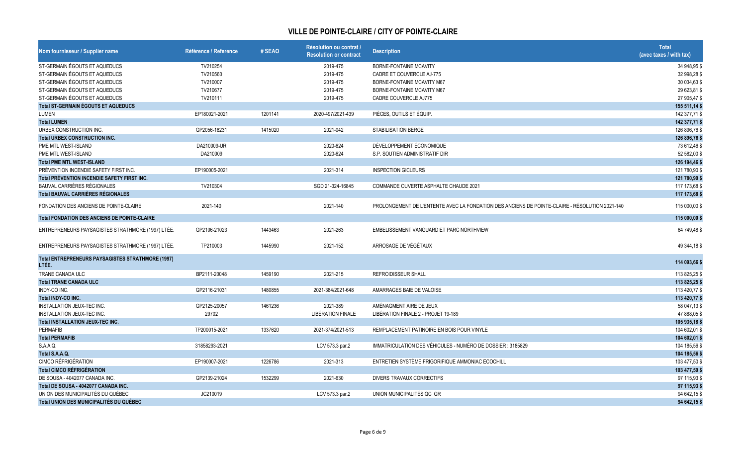| Nom fournisseur / Supplier name                     | Référence / Reference | # SEAO  | Résolution ou contrat /<br>Resolution or contract | <b>Description</b>                                                                             | <b>Total</b><br>(avec taxes / with tax) |
|-----------------------------------------------------|-----------------------|---------|---------------------------------------------------|------------------------------------------------------------------------------------------------|-----------------------------------------|
| ST-GERMAIN ÉGOUTS ET AQUEDUCS                       | TV210254              |         | 2019-475                                          | <b>BORNE-FONTAINE MCAVITY</b>                                                                  | 34 948,95 \$                            |
| ST-GERMAIN ÉGOUTS ET AQUEDUCS                       | TV210560              |         | 2019-475                                          | CADRE ET COUVERCLE AJ-775                                                                      | 32 998,28 \$                            |
| ST-GERMAIN ÉGOUTS ET AQUEDUCS                       | TV210007              |         | 2019-475                                          | BORNE-FONTAINE MCAVITY M67                                                                     | 30 034,63 \$                            |
| ST-GERMAIN ÉGOUTS ET AQUEDUCS                       | TV210677              |         | 2019-475                                          | BORNE-FONTAINE MCAVITY M67                                                                     | 29 623,81 \$                            |
| ST-GERMAIN ÉGOUTS ET AQUEDUCS                       | TV210111              |         | 2019-475                                          | <b>CADRE COUVERCLE AJ775</b>                                                                   | 27 905,47 \$                            |
| <b>Total ST-GERMAIN ÉGOUTS ET AQUEDUCS</b>          |                       |         |                                                   |                                                                                                | 155 511,14 \$                           |
| LUMEN                                               | EP180021-2021         | 1201141 | 2020-497/2021-439                                 | PIÈCES, OUTILS ET ÉQUIP.                                                                       | 142 377,71 \$                           |
| <b>Total LUMEN</b>                                  |                       |         |                                                   |                                                                                                | 142 377,71 \$                           |
| URBEX CONSTRUCTION INC.                             | GP2056-18231          | 1415020 | 2021-042                                          | <b>STABILISATION BERGE</b>                                                                     | 126 896,76 \$                           |
| <b>Total URBEX CONSTRUCTION INC.</b>                |                       |         |                                                   |                                                                                                | 126 896,76 \$                           |
| PME MTL WEST-ISLAND                                 | DA210009-UR           |         | 2020-624                                          | DÉVELOPPEMENT ÉCONOMIQUE                                                                       | 73 612,46 \$                            |
| PME MTL WEST-ISLAND                                 | DA210009              |         | 2020-624                                          | S.P. SOUTIEN ADMINISTRATIF DIR                                                                 | 52 582,00 \$                            |
| <b>Total PME MTL WEST-ISLAND</b>                    |                       |         |                                                   |                                                                                                | 126 194,46 \$                           |
| PRÉVENTION INCENDIE SAFETY FIRST INC.               | EP190005-2021         |         | 2021-314                                          | <b>INSPECTION GICLEURS</b>                                                                     | 121 780,90 \$                           |
| Total PRÉVENTION INCENDIE SAFETY FIRST INC.         |                       |         |                                                   |                                                                                                | 121 780,90 \$                           |
| BAUVAL CARRIÈRES RÉGIONALES                         | TV210304              |         | SGD 21-324-16845                                  | COMMANDE OUVERTE ASPHALTE CHAUDE 2021                                                          | 117 173,68 \$                           |
| <b>Total BAUVAL CARRIÈRES RÉGIONALES</b>            |                       |         |                                                   |                                                                                                | 117 173,68 \$                           |
| FONDATION DES ANCIENS DE POINTE-CLAIRE              | 2021-140              |         | 2021-140                                          | PROLONGEMENT DE L'ENTENTE AVEC LA FONDATION DES ANCIENS DE POINTE-CLAIRE - RÉSOLUTION 2021-140 | 115 000,00 \$                           |
| <b>Total FONDATION DES ANCIENS DE POINTE-CLAIRE</b> |                       |         |                                                   |                                                                                                | 115 000,00 \$                           |
| ENTREPRENEURS PAYSAGISTES STRATHMORE (1997) LTÉE.   | GP2106-21023          | 1443463 | 2021-263                                          | EMBELISSEMENT VANGUARD ET PARC NORTHVIEW                                                       | 64 749,48 \$                            |
| ENTREPRENEURS PAYSAGISTES STRATHMORE (1997) LTÉE.   | TP210003              | 1445990 | 2021-152                                          | ARROSAGE DE VÉGÉTAUX                                                                           | 49 344,18 \$                            |
| Total ENTREPRENEURS PAYSAGISTES STRATHMORE (1997)   |                       |         |                                                   |                                                                                                |                                         |
| LTÉE.                                               |                       |         |                                                   |                                                                                                | 114 093,66 \$                           |
| TRANE CANADA ULC                                    | BP2111-20048          | 1459190 | 2021-215                                          | <b>REFROIDISSEUR SHALL</b>                                                                     | 113 825,25 \$                           |
| <b>Total TRANE CANADA ULC</b>                       |                       |         |                                                   |                                                                                                | 113 825,25 \$                           |
| INDY-CO INC.                                        | GP2116-21031          | 1480855 | 2021-384/2021-648                                 | AMARRAGES BAIE DE VALOISE                                                                      | 113 420,77 \$                           |
| Total INDY-CO INC.                                  |                       |         |                                                   |                                                                                                | 113 420,77 \$                           |
| <b>INSTALLATION JEUX-TEC INC.</b>                   | GP2125-20057          | 1461236 | 2021-389                                          | AMÉNAGMENT AIRE DE JEUX                                                                        | 58 047,13 \$                            |
| INSTALLATION JEUX-TEC INC.                          | 29702                 |         | <b>LIBÉRATION FINALE</b>                          | LIBÉRATION FINALE 2 - PROJET 19-189                                                            | 47 888,05 \$                            |
| <b>Total INSTALLATION JEUX-TEC INC.</b>             |                       |         |                                                   |                                                                                                | 105 935,18 \$                           |
| PERMAFIB                                            | TP200015-2021         | 1337620 | 2021-374/2021-513                                 | REMPLACEMENT PATINOIRE EN BOIS POUR VINYLE                                                     | 104 602,01 \$                           |
| <b>Total PERMAFIB</b>                               |                       |         |                                                   |                                                                                                | 104 602,01 \$                           |
| S.A.A.Q.                                            | 31858293-2021         |         | LCV 573.3 par.2                                   | IMMATRICULATION DES VÉHICULES - NUMÉRO DE DOSSIER : 3185829                                    | 104 185,56 \$                           |
| Total S.A.A.Q.                                      |                       |         |                                                   |                                                                                                | 104 185,56 \$                           |
| <b>CIMCO RÉFRIGÉRATION</b>                          | EP190007-2021         | 1226786 | 2021-313                                          | ENTRETIEN SYSTÈME FRIGORIFIQUE AMMONIAC ECOCHILL                                               | 103 477,50 \$                           |
| <b>Total CIMCO RÉFRIGÉRATION</b>                    |                       |         |                                                   |                                                                                                | 103 477,50 \$                           |
| DE SOUSA - 4042077 CANADA INC.                      | GP2139-21024          | 1532299 | 2021-630                                          | DIVERS TRAVAUX CORRECTIFS                                                                      | 97 115,93 \$                            |
| Total DE SOUSA - 4042077 CANADA INC.                |                       |         |                                                   |                                                                                                | 97 115,93 \$                            |
| UNION DES MUNICIPALITÉS DU QUÉBEC                   | JC210019              |         | LCV 573.3 par.2                                   | UNION MUNICIPALITÉS QC GR                                                                      | 94 642,15 \$                            |
| Total UNION DES MUNICIPALITÉS DU QUÉBEC             |                       |         |                                                   |                                                                                                | 94 642,15 \$                            |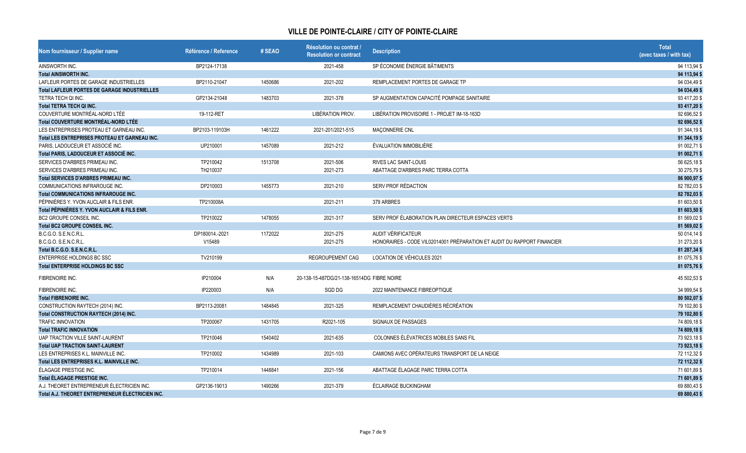| Nom fournisseur / Supplier name                     | Référence / Reference | # SEAO  | Résolution ou contrat /<br><b>Resolution or contract</b> | <b>Description</b>                                                      | <b>Total</b><br>(avec taxes / with tax) |
|-----------------------------------------------------|-----------------------|---------|----------------------------------------------------------|-------------------------------------------------------------------------|-----------------------------------------|
| AINSWORTH INC.                                      | BP2124-17138          |         | 2021-458                                                 | SP ÉCONOMIE ÉNERGIE BÂTIMENTS                                           | 94 113,94 \$                            |
| <b>Total AINSWORTH INC.</b>                         |                       |         |                                                          |                                                                         | 94 113,94 \$                            |
| LAFLEUR PORTES DE GARAGE INDUSTRIELLES              | BP2110-21047          | 1450686 | 2021-202                                                 | REMPLACEMENT PORTES DE GARAGE TP                                        | 94 034,49 \$                            |
| <b>Total LAFLEUR PORTES DE GARAGE INDUSTRIELLES</b> |                       |         |                                                          |                                                                         | 94 034,49 \$                            |
| TETRA TECH QI INC.                                  | GP2134-21048          | 1483703 | 2021-378                                                 | SP AUGMENTATION CAPACITÉ POMPAGE SANITAIRE                              | 93 417,20 \$                            |
| <b>Total TETRA TECH QI INC.</b>                     |                       |         |                                                          |                                                                         | 93 417,20                               |
| COUVERTURE MONTRÉAL-NORD LTÉE                       | 19-112-RET            |         | LIBÉRATION PROV.                                         | LIBÉRATION PROVISOIRE 1 - PROJET IM-18-163D                             | 92 696,52 \$                            |
| Total COUVERTURE MONTRÉAL-NORD LTÉE                 |                       |         |                                                          |                                                                         | 92 696,52 \$                            |
| LES ENTREPRISES PROTEAU ET GARNEAU INC.             | BP2103-119103H        | 1461222 | 2021-201/2021-515                                        | MAÇONNERIE CNL                                                          | 91 344,19 \$                            |
| Total LES ENTREPRISES PROTEAU ET GARNEAU INC.       |                       |         |                                                          |                                                                         | 91 344,19 \$                            |
| PARIS, LADOUCEUR ET ASSOCIÉ INC.                    | UP210001              | 1457089 | 2021-212                                                 | ÉVALUATION IMMOBILIÈRE                                                  | 91 002,71                               |
| Total PARIS, LADOUCEUR ET ASSOCIÉ INC.              |                       |         |                                                          |                                                                         | 91 002,71 \$                            |
| SERVICES D'ARBRES PRIMEAU INC.                      | TP210042              | 1513708 | 2021-506                                                 | <b>RIVES LAC SAINT-LOUIS</b>                                            | 56 625,18 \$                            |
| SERVICES D'ARBRES PRIMEAU INC.                      | TH210037              |         | 2021-273                                                 | ABATTAGE D'ARBRES PARC TERRA COTTA                                      | 30 275,79 \$                            |
| <b>Total SERVICES D'ARBRES PRIMEAU INC.</b>         |                       |         |                                                          |                                                                         | 86 900,97                               |
| COMMUNICATIONS INFRAROUGE INC.                      | DP210003              | 1455773 | 2021-210                                                 | SERV PROF RÉDACTION                                                     | 82 782,03 \$                            |
| <b>Total COMMUNICATIONS INFRAROUGE INC.</b>         |                       |         |                                                          |                                                                         | 82 782,03                               |
| PÉPINIÈRES Y. YVON AUCLAIR & FILS ENR.              | TP210008A             |         | 2021-211                                                 | 379 ARBRES                                                              | 81 603,50 \$                            |
| Total PÉPINIÈRES Y. YVON AUCLAIR & FILS ENR.        |                       |         |                                                          |                                                                         | 81 603,50 \$                            |
| BC2 GROUPE CONSEIL INC.                             | TP210022              | 1478055 | 2021-317                                                 | SERV PROF ÉLABORATION PLAN DIRECTEUR ESPACES VERTS                      | 81 569,02 \$                            |
| <b>Total BC2 GROUPE CONSEIL INC.</b>                |                       |         |                                                          |                                                                         | 81 569,02                               |
| B.C.G.O. S.E.N.C.R.L.                               | DP180014.-2021        | 1172022 | 2021-275                                                 | AUDIT VÉRIFICATEUR                                                      | 50 014,14 \$                            |
| B.C.G.O. S.E.N.C.R.L.                               | V15489                |         | 2021-275                                                 | HONORAIRES - CODE VIL02014001 PRÉPARATION ET AUDIT DU RAPPORT FINANCIER | 31 273,20 \$                            |
| Total B.C.G.O. S.E.N.C.R.L.                         |                       |         |                                                          |                                                                         | 81 287,34                               |
| ENTERPRISE HOLDINGS BC SSC                          | TV210199              |         | <b>REGROUPEMENT CAG</b>                                  | <b>LOCATION DE VÉHICULES 2021</b>                                       | 81 075,76 \$                            |
| <b>Total ENTERPRISE HOLDINGS BC SSC</b>             |                       |         |                                                          |                                                                         | 81 075,76 \$                            |
| FIBRENOIRE INC.                                     | IP210004              | N/A     | 20-138-15-487DG/21-138-16514DG FIBRE NOIRE               |                                                                         | 45 502,53 \$                            |
| FIBRENOIRE INC.                                     | IP220003              | N/A     | SGD DG                                                   | 2022 MAINTENANCE FIBREOPTIQUE                                           | 34 999,54 \$                            |
| <b>Total FIBRENOIRE INC.</b>                        |                       |         |                                                          |                                                                         | 80 502,07                               |
| CONSTRUCTION RAYTECH (2014) INC.                    | BP2113-20081          | 1484845 | 2021-325                                                 | REMPLACEMENT CHAUDIÈRES RÉCRÉATION                                      | 79 102,80 \$                            |
| <b>Total CONSTRUCTION RAYTECH (2014) INC.</b>       |                       |         |                                                          |                                                                         | 79 102,80 \$                            |
| <b>TRAFIC INNOVATION</b>                            | TP200067              | 1431705 | R2021-105                                                | SIGNAUX DE PASSAGES                                                     | 74 809,18 \$                            |
| <b>Total TRAFIC INNOVATION</b>                      |                       |         |                                                          |                                                                         | 74 809,18 \$                            |
| UAP TRACTION VILLE SAINT-LAURENT                    | TP210046              | 1540402 | 2021-635                                                 | COLONNES ÉLÉVATRICES MOBILES SANS FIL                                   | 73 923,18 \$                            |
| <b>Total UAP TRACTION SAINT-LAURENT</b>             |                       |         |                                                          |                                                                         | 73 923,18                               |
| LES ENTREPRISES K.L. MAINVILLE INC.                 | TP210002              | 1434989 | 2021-103                                                 | CAMIONS AVEC OPÉRATEURS TRANSPORT DE LA NEIGE                           | 72 112,32 \$                            |
| Total LES ENTREPRISES K.L. MAINVILLE INC.           |                       |         |                                                          |                                                                         | 72 112,32 \$                            |
| ÉLAGAGE PRESTIGE INC.                               | TP210014              | 1448841 | 2021-156                                                 | ABATTAGE ÉLAGAGE PARC TERRA COTTA                                       | 71 601,89 \$                            |
| <b>Total ÉLAGAGE PRESTIGE INC.</b>                  |                       |         |                                                          |                                                                         | 71 601,89 \$                            |
| A.J. THEORET ENTREPRENEUR ÉLECTRICIEN INC.          | GP2136-19013          | 1490266 | 2021-379                                                 | <b>ÉCLAIRAGE BUCKINGHAM</b>                                             | 69 880,43 \$                            |
| Total A.J. THEORET ENTREPRENEUR ÉLECTRICIEN INC.    |                       |         |                                                          |                                                                         | 69 880,43 \$                            |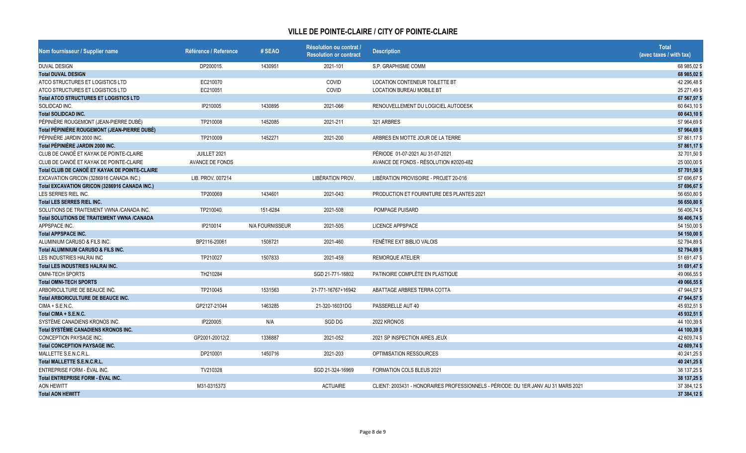| Nom fournisseur / Supplier name                      | Référence / Reference  | # SEAO          | Résolution ou contrat /<br><b>Resolution or contract</b> | <b>Description</b>                                                                 | <b>Total</b><br>(avec taxes / with tax) |
|------------------------------------------------------|------------------------|-----------------|----------------------------------------------------------|------------------------------------------------------------------------------------|-----------------------------------------|
| <b>DUVAL DESIGN</b>                                  | DP200015.              | 1430951         | 2021-101                                                 | S.P. GRAPHISME COMM                                                                | 68 985,02 \$                            |
| <b>Total DUVAL DESIGN</b>                            |                        |                 |                                                          |                                                                                    | 68 985,02 \$                            |
| ATCO STRUCTURES ET LOGISTICS LTD                     | EC210070               |                 | <b>COVID</b>                                             | <b>LOCATION CONTENEUR TOILETTE BT</b>                                              | 42 296,48 \$                            |
| ATCO STRUCTURES ET LOGISTICS LTD                     | EC210051               |                 | COVID                                                    | <b>LOCATION BUREAU MOBILE BT</b>                                                   | 25 271,49 \$                            |
| <b>Total ATCO STRUCTURES ET LOGISTICS LTD</b>        |                        |                 |                                                          |                                                                                    | 67 567,97                               |
| SOLIDCAD INC.                                        | IP210005               | 1430895         | 2021-066                                                 | RENOUVELLEMENT DU LOGICIEL AUTODESK                                                | 60 643,10 \$                            |
| <b>Total SOLIDCAD INC.</b>                           |                        |                 |                                                          |                                                                                    | 60 643,10 \$                            |
| PÉPINIÈRE ROUGEMONT (JEAN-PIERRE DUBÉ)               | TP210008               | 1452085         | 2021-211                                                 | 321 ARBRES                                                                         | 57 964,69 \$                            |
| Total PÉPINIÈRE ROUGEMONT (JEAN-PIERRE DUBÉ)         |                        |                 |                                                          |                                                                                    | 57 964,69 \$                            |
| PÉPINIÈRE JARDIN 2000 INC.                           | TP210009               | 1452271         | 2021-200                                                 | ARBRES EN MOTTE JOUR DE LA TERRE                                                   | 57 861,17 \$                            |
| Total PÉPINIÈRE JARDIN 2000 INC.                     |                        |                 |                                                          |                                                                                    | 57 861,17                               |
| CLUB DE CANOË ET KAYAK DE POINTE-CLAIRE              | JUILLET 2021           |                 |                                                          | PÉRIODE 01-07-2021 AU 31-07-2021                                                   | 32 701,50 \$                            |
| CLUB DE CANOË ET KAYAK DE POINTE-CLAIRE              | <b>AVANCE DE FONDS</b> |                 |                                                          | AVANCE DE FONDS - RÉSOLUTION #2020-482                                             | 25 000,00 \$                            |
| Total CLUB DE CANOË ET KAYAK DE POINTE-CLAIRE        |                        |                 |                                                          |                                                                                    | 57 701,50 \$                            |
| EXCAVATION GRICON (3286916 CANADA INC.)              | LIB. PROV. 007214      |                 | LIBÉRATION PROV.                                         | LIBÉRATION PROVISOIRE - PROJET 20-016                                              | 57 696,67 \$                            |
| <b>Total EXCAVATION GRICON (3286916 CANADA INC.)</b> |                        |                 |                                                          |                                                                                    | 57 696,67                               |
| LES SERRES RIEL INC.                                 | TP200069               | 1434601         | 2021-043                                                 | PRODUCTION ET FOURNITURE DES PLANTES 2021                                          | 56 650,80 \$                            |
| <b>Total LES SERRES RIEL INC.</b>                    |                        |                 |                                                          |                                                                                    | 56 650,80 \$                            |
| SOLUTIONS DE TRAITEMENT VWNA /CANADA INC.            | TP210040.              | 151-6284        | 2021-508                                                 | POMPAGE PUISARD                                                                    | 56 406,74 \$                            |
| Total SOLUTIONS DE TRAITEMENT VWNA /CANADA           |                        |                 |                                                          |                                                                                    | 56 406,74 \$                            |
| APPSPACE INC.                                        | IP210014               | N/A FOURNISSEUR | 2021-505                                                 | LICENCE APPSPACE                                                                   | 54 150,00 \$                            |
| <b>Total APPSPACE INC.</b>                           |                        |                 |                                                          |                                                                                    | 54 150,00 \$                            |
| ALUMINIUM CARUSO & FILS INC.                         | BP2116-20061           | 1508721         | 2021-460                                                 | FENÊTRE EXT BIBLIO VALOIS                                                          | 52 794,89 \$                            |
| <b>Total ALUMINIUM CARUSO &amp; FILS INC.</b>        |                        |                 |                                                          |                                                                                    | 52 794,89 \$                            |
| LES INDUSTRIES HALRAI INC                            | TP210027               | 1507833         | 2021-459                                                 | <b>REMORQUE ATELIER</b>                                                            | 51 691,47 \$                            |
| <b>Total LES INDUSTRIES HALRAI INC.</b>              |                        |                 |                                                          |                                                                                    | 51 691,47 \$                            |
| <b>OMNI-TECH SPORTS</b>                              | TH210284               |                 | SGD 21-771-16802                                         | PATINOIRE COMPLÈTE EN PLASTIQUE                                                    | 49 066,55 \$                            |
| <b>Total OMNI-TECH SPORTS</b>                        |                        |                 |                                                          |                                                                                    | 49 066,55 \$                            |
| ARBORICULTURE DE BEAUCE INC.                         | TP210045               | 1531563         | 21-771-16767+16942                                       | ABATTAGE ARBRES TERRA COTTA                                                        | 47 944,57 \$                            |
| Total ARBORICULTURE DE BEAUCE INC.                   |                        |                 |                                                          |                                                                                    | 47 944,57 \$                            |
| $CIMA + S.E.N.C.$                                    | GP2127-21044           | 1463285         | 21-320-16031DG                                           | PASSERELLE AUT 40                                                                  | 45 932,51 \$                            |
| Total CIMA + S.E.N.C.                                |                        |                 |                                                          |                                                                                    | 45 932,51 \$                            |
| SYSTÈME CANADIENS KRONOS INC.                        | IP220005               | N/A             | SGD DG                                                   | 2022 KRONOS                                                                        | 44 100,39 \$                            |
| Total SYSTÈME CANADIENS KRONOS INC.                  |                        |                 |                                                          |                                                                                    | 44 100,39 \$                            |
| CONCEPTION PAYSAGE INC.                              | GP2001-20012(2         | 1336887         | 2021-052                                                 | 2021 SP INSPECTION AIRES JEUX                                                      | 42 609,74 \$                            |
| <b>Total CONCEPTION PAYSAGE INC.</b>                 |                        |                 |                                                          |                                                                                    | 42 609,74 \$                            |
| MALLETTE S.E.N.C.R.L.                                | DP210001               | 1450716         | 2021-203                                                 | OPTIMISATION RESSOURCES                                                            | 40 241,25 \$                            |
| <b>Total MALLETTE S.E.N.C.R.L.</b>                   |                        |                 |                                                          |                                                                                    | 40 241,25 \$                            |
| ENTREPRISE FORM - ÉVAL INC.                          | TV210328               |                 | SGD 21-324-16969                                         | FORMATION COLS BLEUS 2021                                                          | 38 137,25 \$                            |
| Total ENTREPRISE FORM - ÉVAL INC.                    |                        |                 |                                                          |                                                                                    | 38 137,25 \$                            |
| <b>AON HEWITT</b>                                    | M31-0315373            |                 | <b>ACTUAIRE</b>                                          | CLIENT: 2003431 - HONORAIRES PROFESSIONNELS - PÉRIODE: DU 1ER JANV AU 31 MARS 2021 | 37 384,12 \$                            |
| <b>Total AON HEWITT</b>                              |                        |                 |                                                          |                                                                                    | 37 384,12 \$                            |